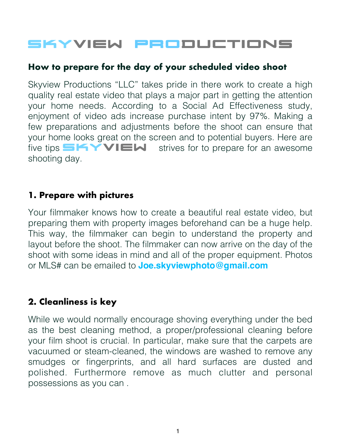# SKYVIEW Productions

#### **How to prepare for the day of your scheduled video shoot**

Skyview Productions "LLC" takes pride in there work to create a high quality real estate video that plays a major part in getting the attention your home needs. According to a Social Ad Effectiveness study, enjoyment of video ads increase purchase intent by 97%. Making a few preparations and adjustments before the shoot can ensure that your home looks great on the screen and to potential buyers. Here are five tips  $\blacksquare$  **SKYVIEW** strives for to prepare for an awesome shooting day.

#### **1. Prepare with pictures**

Your filmmaker knows how to create a beautiful real estate video, but preparing them with property images beforehand can be a huge help. This way, the filmmaker can begin to understand the property and layout before the shoot. The filmmaker can now arrive on the day of the shoot with some ideas in mind and all of the proper equipment. Photos or MLS# can be emailed to **Joe.skyviewphoto@gmail.com** 

## **2. Cleanliness is key**

While we would normally encourage shoving everything under the bed as the best cleaning method, a proper/professional cleaning before your film shoot is crucial. In particular, make sure that the carpets are vacuumed or steam-cleaned, the windows are washed to remove any smudges or fingerprints, and all hard surfaces are dusted and polished. Furthermore remove as much clutter and personal possessions as you can .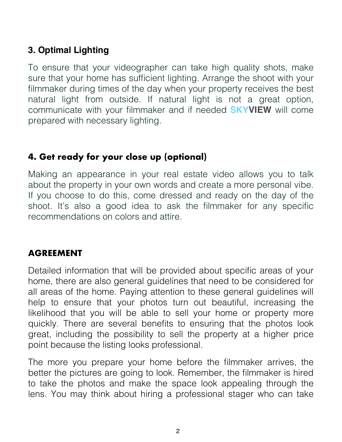## **3. Optimal Lighting**

To ensure that your videographer can take high quality shots, make sure that your home has sufficient lighting. Arrange the shoot with your filmmaker during times of the day when your property receives the best natural light from outside. If natural light is not a great option, communicate with your filmmaker and if needed **SKYVIEW** will come prepared with necessary lighting.

## **4. Get ready for your close up (optional)**

Making an appearance in your real estate video allows you to talk about the property in your own words and create a more personal vibe. If you choose to do this, come dressed and ready on the day of the shoot. It's also a good idea to ask the filmmaker for any specific recommendations on colors and attire.

#### **AGREEMENT**

Detailed information that will be provided about specific areas of your home, there are also general guidelines that need to be considered for all areas of the home. Paying attention to these general guidelines will help to ensure that your photos turn out beautiful, increasing the likelihood that you will be able to sell your home or property more quickly. There are several benefits to ensuring that the photos look great, including the possibility to sell the property at a higher price point because the listing looks professional.

The more you prepare your home before the filmmaker arrives, the better the pictures are going to look. Remember, the filmmaker is hired to take the photos and make the space look appealing through the lens. You may think about hiring a professional stager who can take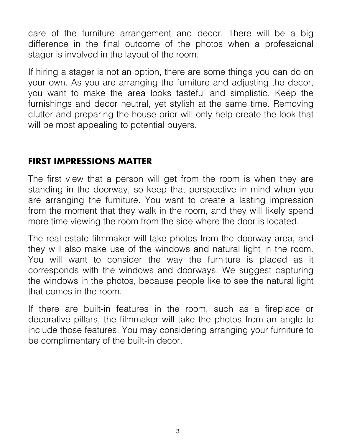care of the furniture arrangement and decor. There will be a big difference in the final outcome of the photos when a professional stager is involved in the layout of the room.

If hiring a stager is not an option, there are some things you can do on your own. As you are arranging the furniture and adjusting the decor, you want to make the area looks tasteful and simplistic. Keep the furnishings and decor neutral, yet stylish at the same time. Removing clutter and preparing the house prior will only help create the look that will be most appealing to potential buyers.

## **FIRST IMPRESSIONS MATTER**

The first view that a person will get from the room is when they are standing in the doorway, so keep that perspective in mind when you are arranging the furniture. You want to create a lasting impression from the moment that they walk in the room, and they will likely spend more time viewing the room from the side where the door is located.

The real estate filmmaker will take photos from the doorway area, and they will also make use of the windows and natural light in the room. You will want to consider the way the furniture is placed as it corresponds with the windows and doorways. We suggest capturing the windows in the photos, because people like to see the natural light that comes in the room.

If there are built-in features in the room, such as a fireplace or decorative pillars, the filmmaker will take the photos from an angle to include those features. You may considering arranging your furniture to be complimentary of the built-in decor.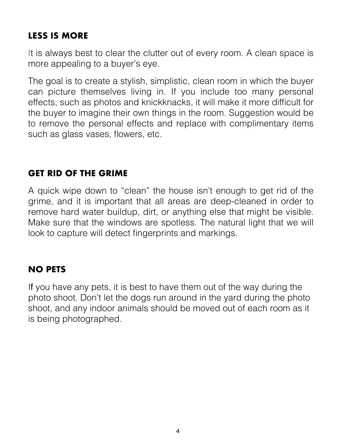## **LESS IS MORE**

It is always best to clear the clutter out of every room. A clean space is more appealing to a buyer's eye.

The goal is to create a stylish, simplistic, clean room in which the buyer can picture themselves living in. If you include too many personal effects, such as photos and knickknacks, it will make it more difficult for the buyer to imagine their own things in the room. Suggestion would be to remove the personal effects and replace with complimentary items such as glass vases, flowers, etc.

#### **GET RID OF THE GRIME**

A quick wipe down to "clean" the house isn't enough to get rid of the grime, and it is important that all areas are deep-cleaned in order to remove hard water buildup, dirt, or anything else that might be visible. Make sure that the windows are spotless. The natural light that we will look to capture will detect fingerprints and markings.

#### **NO PETS**

If you have any pets, it is best to have them out of the way during the photo shoot. Don't let the dogs run around in the yard during the photo shoot, and any indoor animals should be moved out of each room as it is being photographed.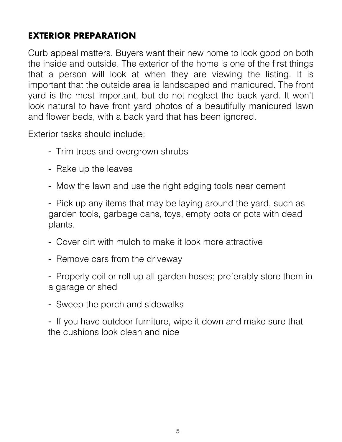# **EXTERIOR PREPARATION**

Curb appeal matters. Buyers want their new home to look good on both the inside and outside. The exterior of the home is one of the first things that a person will look at when they are viewing the listing. It is important that the outside area is landscaped and manicured. The front yard is the most important, but do not neglect the back yard. It won't look natural to have front yard photos of a beautifully manicured lawn and flower beds, with a back yard that has been ignored.

Exterior tasks should include:

- ⁃ Trim trees and overgrown shrubs
- ⁃ Rake up the leaves
- ⁃ Mow the lawn and use the right edging tools near cement

⁃ Pick up any items that may be laying around the yard, such as garden tools, garbage cans, toys, empty pots or pots with dead plants.

- ⁃ Cover dirt with mulch to make it look more attractive
- ⁃ Remove cars from the driveway

⁃ Properly coil or roll up all garden hoses; preferably store them in a garage or shed

⁃ Sweep the porch and sidewalks

⁃ If you have outdoor furniture, wipe it down and make sure that the cushions look clean and nice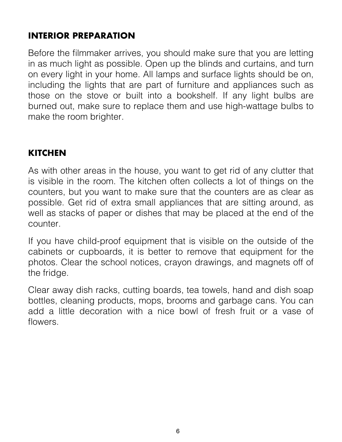## **INTERIOR PREPARATION**

Before the filmmaker arrives, you should make sure that you are letting in as much light as possible. Open up the blinds and curtains, and turn on every light in your home. All lamps and surface lights should be on, including the lights that are part of furniture and appliances such as those on the stove or built into a bookshelf. If any light bulbs are burned out, make sure to replace them and use high-wattage bulbs to make the room brighter.

## **KITCHEN**

As with other areas in the house, you want to get rid of any clutter that is visible in the room. The kitchen often collects a lot of things on the counters, but you want to make sure that the counters are as clear as possible. Get rid of extra small appliances that are sitting around, as well as stacks of paper or dishes that may be placed at the end of the counter.

If you have child-proof equipment that is visible on the outside of the cabinets or cupboards, it is better to remove that equipment for the photos. Clear the school notices, crayon drawings, and magnets off of the fridge.

Clear away dish racks, cutting boards, tea towels, hand and dish soap bottles, cleaning products, mops, brooms and garbage cans. You can add a little decoration with a nice bowl of fresh fruit or a vase of flowers.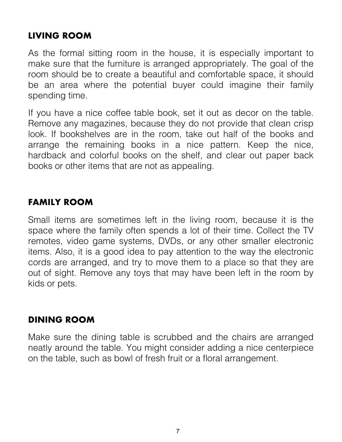#### **LIVING ROOM**

As the formal sitting room in the house, it is especially important to make sure that the furniture is arranged appropriately. The goal of the room should be to create a beautiful and comfortable space, it should be an area where the potential buyer could imagine their family spending time.

If you have a nice coffee table book, set it out as decor on the table. Remove any magazines, because they do not provide that clean crisp look. If bookshelves are in the room, take out half of the books and arrange the remaining books in a nice pattern. Keep the nice, hardback and colorful books on the shelf, and clear out paper back books or other items that are not as appealing.

## **FAMILY ROOM**

Small items are sometimes left in the living room, because it is the space where the family often spends a lot of their time. Collect the TV remotes, video game systems, DVDs, or any other smaller electronic items. Also, it is a good idea to pay attention to the way the electronic cords are arranged, and try to move them to a place so that they are out of sight. Remove any toys that may have been left in the room by kids or pets.

#### **DINING ROOM**

Make sure the dining table is scrubbed and the chairs are arranged neatly around the table. You might consider adding a nice centerpiece on the table, such as bowl of fresh fruit or a floral arrangement.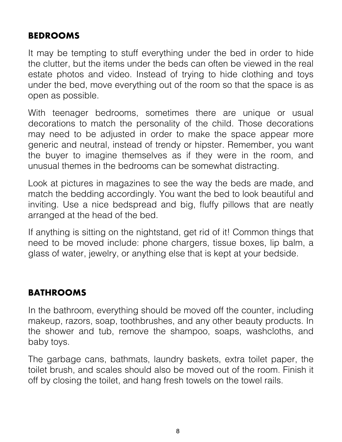#### **BEDROOMS**

It may be tempting to stuff everything under the bed in order to hide the clutter, but the items under the beds can often be viewed in the real estate photos and video. Instead of trying to hide clothing and toys under the bed, move everything out of the room so that the space is as open as possible.

With teenager bedrooms, sometimes there are unique or usual decorations to match the personality of the child. Those decorations may need to be adjusted in order to make the space appear more generic and neutral, instead of trendy or hipster. Remember, you want the buyer to imagine themselves as if they were in the room, and unusual themes in the bedrooms can be somewhat distracting.

Look at pictures in magazines to see the way the beds are made, and match the bedding accordingly. You want the bed to look beautiful and inviting. Use a nice bedspread and big, fluffy pillows that are neatly arranged at the head of the bed.

If anything is sitting on the nightstand, get rid of it! Common things that need to be moved include: phone chargers, tissue boxes, lip balm, a glass of water, jewelry, or anything else that is kept at your bedside.

## **BATHROOMS**

In the bathroom, everything should be moved off the counter, including makeup, razors, soap, toothbrushes, and any other beauty products. In the shower and tub, remove the shampoo, soaps, washcloths, and baby toys.

The garbage cans, bathmats, laundry baskets, extra toilet paper, the toilet brush, and scales should also be moved out of the room. Finish it off by closing the toilet, and hang fresh towels on the towel rails.